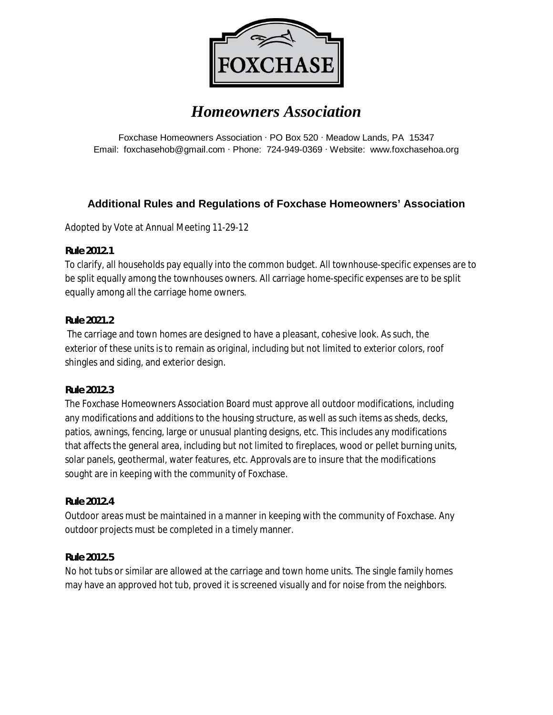

# *Homeowners Association*

Foxchase Homeowners Association · PO Box 520 · Meadow Lands, PA 15347 Email: foxchasehob@gmail.com · Phone: 724-949-0369 · Website: www.foxchasehoa.org

## **Additional Rules and Regulations of Foxchase Homeowners' Association**

Adopted by Vote at Annual Meeting 11-29-12

**Rule 2012.1** 

To clarify, all households pay equally into the common budget. All townhouse-specific expenses are to be split equally among the townhouses owners. All carriage home-specific expenses are to be split equally among all the carriage home owners.

## **Rule 2021.2**

 The carriage and town homes are designed to have a pleasant, cohesive look. As such, the exterior of these units is to remain as original, including but not limited to exterior colors, roof shingles and siding, and exterior design.

#### **Rule 2012.3**

The Foxchase Homeowners Association Board must approve all outdoor modifications, including any modifications and additions to the housing structure, as well as such items as sheds, decks, patios, awnings, fencing, large or unusual planting designs, etc. This includes any modifications that affects the general area, including but not limited to fireplaces, wood or pellet burning units, solar panels, geothermal, water features, etc. Approvals are to insure that the modifications sought are in keeping with the community of Foxchase.

## **Rule 2012.4**

Outdoor areas must be maintained in a manner in keeping with the community of Foxchase. Any outdoor projects must be completed in a timely manner.

## **Rule 2012.5**

No hot tubs or similar are allowed at the carriage and town home units. The single family homes may have an approved hot tub, proved it is screened visually and for noise from the neighbors.